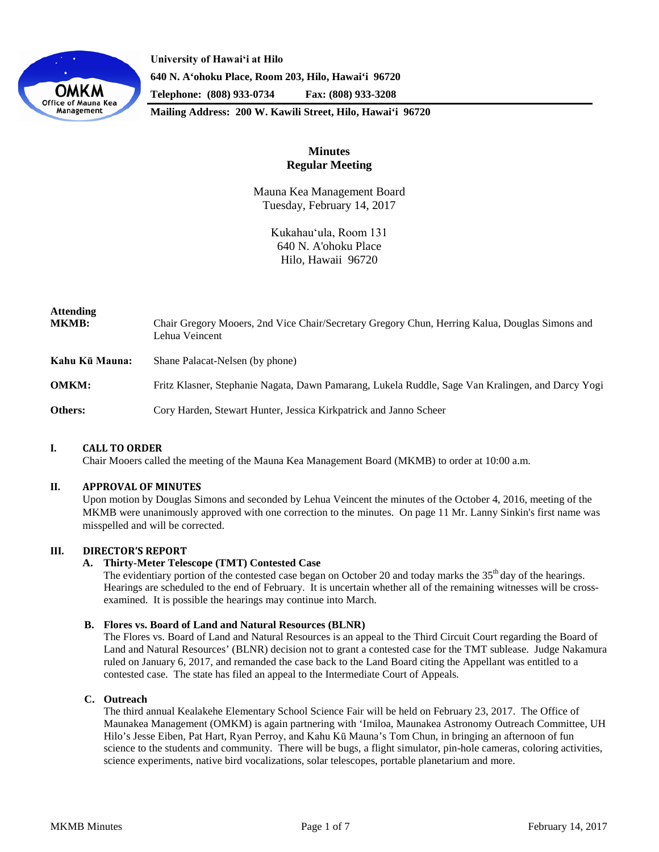

**University of Hawaiʻi at Hilo 640 N. A'ohoku Place, Room 203, Hilo, Hawai'i 96720 Telephone: (808) 933-0734 Fax: (808) 933-3208**

**Mailing Address: 200 W. Kawili Street, Hilo, Hawai'i 96720**

# **Minutes Regular Meeting**

Mauna Kea Management Board Tuesday, February 14, 2017

> Kukahauʻula, Room 131 640 N. A'ohoku Place Hilo, Hawaii 96720

| <b>Attending</b><br><b>MKMB:</b> | Chair Gregory Mooers, 2nd Vice Chair/Secretary Gregory Chun, Herring Kalua, Douglas Simons and<br>Lehua Veincent |
|----------------------------------|------------------------------------------------------------------------------------------------------------------|
| Kahu Kū Mauna:                   | Shane Palacat-Nelsen (by phone)                                                                                  |
| <b>OMKM:</b>                     | Fritz Klasner, Stephanie Nagata, Dawn Pamarang, Lukela Ruddle, Sage Van Kralingen, and Darcy Yogi                |
| Others:                          | Cory Harden, Stewart Hunter, Jessica Kirkpatrick and Janno Scheer                                                |

# **I. CALL TO ORDER**

Chair Mooers called the meeting of the Mauna Kea Management Board (MKMB) to order at 10:00 a.m.

#### **II. APPROVAL OF MINUTES**

Upon motion by Douglas Simons and seconded by Lehua Veincent the minutes of the October 4, 2016, meeting of the MKMB were unanimously approved with one correction to the minutes. On page 11 Mr. Lanny Sinkin's first name was misspelled and will be corrected.

# **III. DIRECTOR'S REPORT**

# **A. Thirty-Meter Telescope (TMT) Contested Case**

The evidentiary portion of the contested case began on October 20 and today marks the  $35<sup>th</sup>$  day of the hearings. Hearings are scheduled to the end of February. It is uncertain whether all of the remaining witnesses will be crossexamined. It is possible the hearings may continue into March.

#### **B. Flores vs. Board of Land and Natural Resources (BLNR)**

The Flores vs. Board of Land and Natural Resources is an appeal to the Third Circuit Court regarding the Board of Land and Natural Resources' (BLNR) decision not to grant a contested case for the TMT sublease. Judge Nakamura ruled on January 6, 2017, and remanded the case back to the Land Board citing the Appellant was entitled to a contested case. The state has filed an appeal to the Intermediate Court of Appeals.

# **C. Outreach**

The third annual Kealakehe Elementary School Science Fair will be held on February 23, 2017. The Office of Maunakea Management (OMKM) is again partnering with 'Imiloa, Maunakea Astronomy Outreach Committee, UH Hilo's Jesse Eiben, Pat Hart, Ryan Perroy, and Kahu Kū Mauna's Tom Chun, in bringing an afternoon of fun science to the students and community. There will be bugs, a flight simulator, pin-hole cameras, coloring activities, science experiments, native bird vocalizations, solar telescopes, portable planetarium and more.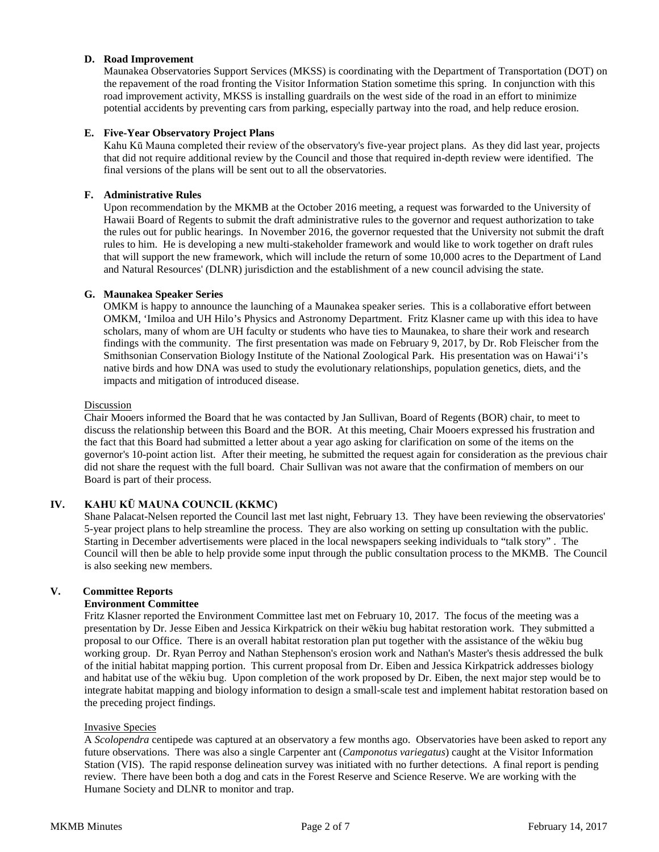# **D. Road Improvement**

Maunakea Observatories Support Services (MKSS) is coordinating with the Department of Transportation (DOT) on the repavement of the road fronting the Visitor Information Station sometime this spring. In conjunction with this road improvement activity, MKSS is installing guardrails on the west side of the road in an effort to minimize potential accidents by preventing cars from parking, especially partway into the road, and help reduce erosion.

# **E. Five-Year Observatory Project Plans**

Kahu Kū Mauna completed their review of the observatory's five-year project plans. As they did last year, projects that did not require additional review by the Council and those that required in-depth review were identified. The final versions of the plans will be sent out to all the observatories.

# **F. Administrative Rules**

Upon recommendation by the MKMB at the October 2016 meeting, a request was forwarded to the University of Hawaii Board of Regents to submit the draft administrative rules to the governor and request authorization to take the rules out for public hearings. In November 2016, the governor requested that the University not submit the draft rules to him. He is developing a new multi-stakeholder framework and would like to work together on draft rules that will support the new framework, which will include the return of some 10,000 acres to the Department of Land and Natural Resources' (DLNR) jurisdiction and the establishment of a new council advising the state.

# **G. Maunakea Speaker Series**

OMKM is happy to announce the launching of a Maunakea speaker series. This is a collaborative effort between OMKM, 'Imiloa and UH Hilo's Physics and Astronomy Department. Fritz Klasner came up with this idea to have scholars, many of whom are UH faculty or students who have ties to Maunakea, to share their work and research findings with the community. The first presentation was made on February 9, 2017, by Dr. Rob Fleischer from the Smithsonian Conservation Biology Institute of the National Zoological Park. His presentation was on Hawai'i's native birds and how DNA was used to study the evolutionary relationships, population genetics, diets, and the impacts and mitigation of introduced disease.

# Discussion

Chair Mooers informed the Board that he was contacted by Jan Sullivan, Board of Regents (BOR) chair, to meet to discuss the relationship between this Board and the BOR. At this meeting, Chair Mooers expressed his frustration and the fact that this Board had submitted a letter about a year ago asking for clarification on some of the items on the governor's 10-point action list. After their meeting, he submitted the request again for consideration as the previous chair did not share the request with the full board. Chair Sullivan was not aware that the confirmation of members on our Board is part of their process.

# **IV. KAHU KŪ MAUNA COUNCIL (KKMC)**

Shane Palacat-Nelsen reported the Council last met last night, February 13. They have been reviewing the observatories' 5-year project plans to help streamline the process. They are also working on setting up consultation with the public. Starting in December advertisements were placed in the local newspapers seeking individuals to "talk story" . The Council will then be able to help provide some input through the public consultation process to the MKMB. The Council is also seeking new members.

# **V. Committee Reports**

# **Environment Committee**

Fritz Klasner reported the Environment Committee last met on February 10, 2017. The focus of the meeting was a presentation by Dr. Jesse Eiben and Jessica Kirkpatrick on their wēkiu bug habitat restoration work. They submitted a proposal to our Office. There is an overall habitat restoration plan put together with the assistance of the wēkiu bug working group. Dr. Ryan Perroy and Nathan Stephenson's erosion work and Nathan's Master's thesis addressed the bulk of the initial habitat mapping portion. This current proposal from Dr. Eiben and Jessica Kirkpatrick addresses biology and habitat use of the wēkiu bug. Upon completion of the work proposed by Dr. Eiben, the next major step would be to integrate habitat mapping and biology information to design a small-scale test and implement habitat restoration based on the preceding project findings.

# Invasive Species

A *Scolopendra* centipede was captured at an observatory a few months ago. Observatories have been asked to report any future observations. There was also a single Carpenter ant (*Camponotus variegatus*) caught at the Visitor Information Station (VIS). The rapid response delineation survey was initiated with no further detections. A final report is pending review. There have been both a dog and cats in the Forest Reserve and Science Reserve. We are working with the Humane Society and DLNR to monitor and trap.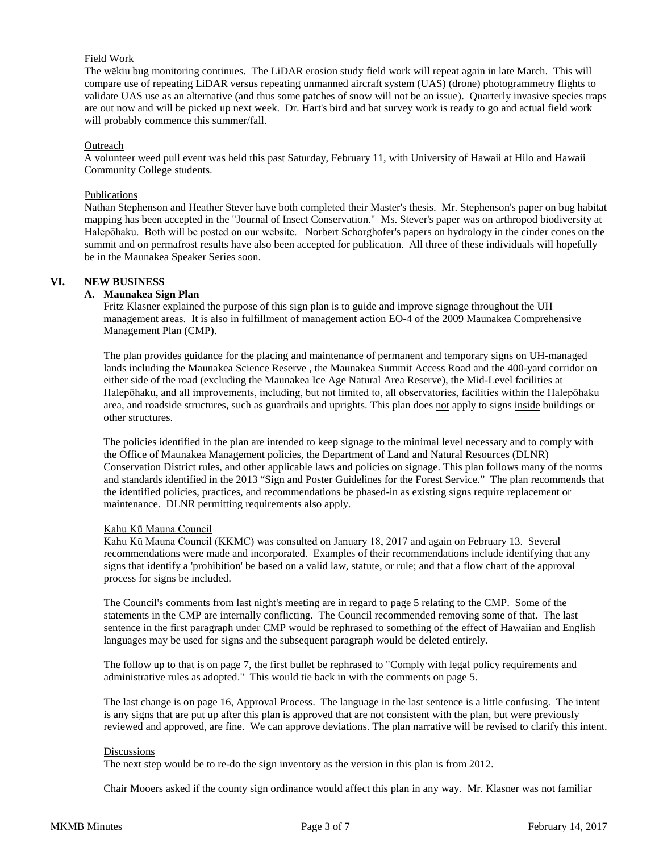# Field Work

The wēkiu bug monitoring continues. The LiDAR erosion study field work will repeat again in late March. This will compare use of repeating LiDAR versus repeating unmanned aircraft system (UAS) (drone) photogrammetry flights to validate UAS use as an alternative (and thus some patches of snow will not be an issue). Quarterly invasive species traps are out now and will be picked up next week. Dr. Hart's bird and bat survey work is ready to go and actual field work will probably commence this summer/fall.

### **Outreach**

A volunteer weed pull event was held this past Saturday, February 11, with University of Hawaii at Hilo and Hawaii Community College students.

### Publications

Nathan Stephenson and Heather Stever have both completed their Master's thesis. Mr. Stephenson's paper on bug habitat mapping has been accepted in the "Journal of Insect Conservation." Ms. Stever's paper was on arthropod biodiversity at Halepōhaku. Both will be posted on our website. Norbert Schorghofer's papers on hydrology in the cinder cones on the summit and on permafrost results have also been accepted for publication. All three of these individuals will hopefully be in the Maunakea Speaker Series soon.

### **VI. NEW BUSINESS**

### **A. Maunakea Sign Plan**

Fritz Klasner explained the purpose of this sign plan is to guide and improve signage throughout the UH management areas. It is also in fulfillment of management action EO-4 of the 2009 Maunakea Comprehensive Management Plan (CMP).

The plan provides guidance for the placing and maintenance of permanent and temporary signs on UH-managed lands including the Maunakea Science Reserve , the Maunakea Summit Access Road and the 400-yard corridor on either side of the road (excluding the Maunakea Ice Age Natural Area Reserve), the Mid-Level facilities at Halepōhaku, and all improvements, including, but not limited to, all observatories, facilities within the Halepōhaku area, and roadside structures, such as guardrails and uprights. This plan does not apply to signs inside buildings or other structures.

The policies identified in the plan are intended to keep signage to the minimal level necessary and to comply with the Office of Maunakea Management policies, the Department of Land and Natural Resources (DLNR) Conservation District rules, and other applicable laws and policies on signage. This plan follows many of the norms and standards identified in the 2013 "Sign and Poster Guidelines for the Forest Service." The plan recommends that the identified policies, practices, and recommendations be phased-in as existing signs require replacement or maintenance. DLNR permitting requirements also apply.

#### Kahu Kū Mauna Council

Kahu Kū Mauna Council (KKMC) was consulted on January 18, 2017 and again on February 13. Several recommendations were made and incorporated. Examples of their recommendations include identifying that any signs that identify a 'prohibition' be based on a valid law, statute, or rule; and that a flow chart of the approval process for signs be included.

The Council's comments from last night's meeting are in regard to page 5 relating to the CMP. Some of the statements in the CMP are internally conflicting. The Council recommended removing some of that. The last sentence in the first paragraph under CMP would be rephrased to something of the effect of Hawaiian and English languages may be used for signs and the subsequent paragraph would be deleted entirely.

The follow up to that is on page 7, the first bullet be rephrased to "Comply with legal policy requirements and administrative rules as adopted." This would tie back in with the comments on page 5.

The last change is on page 16, Approval Process. The language in the last sentence is a little confusing. The intent is any signs that are put up after this plan is approved that are not consistent with the plan, but were previously reviewed and approved, are fine. We can approve deviations. The plan narrative will be revised to clarify this intent.

#### **Discussions**

The next step would be to re-do the sign inventory as the version in this plan is from 2012.

Chair Mooers asked if the county sign ordinance would affect this plan in any way. Mr. Klasner was not familiar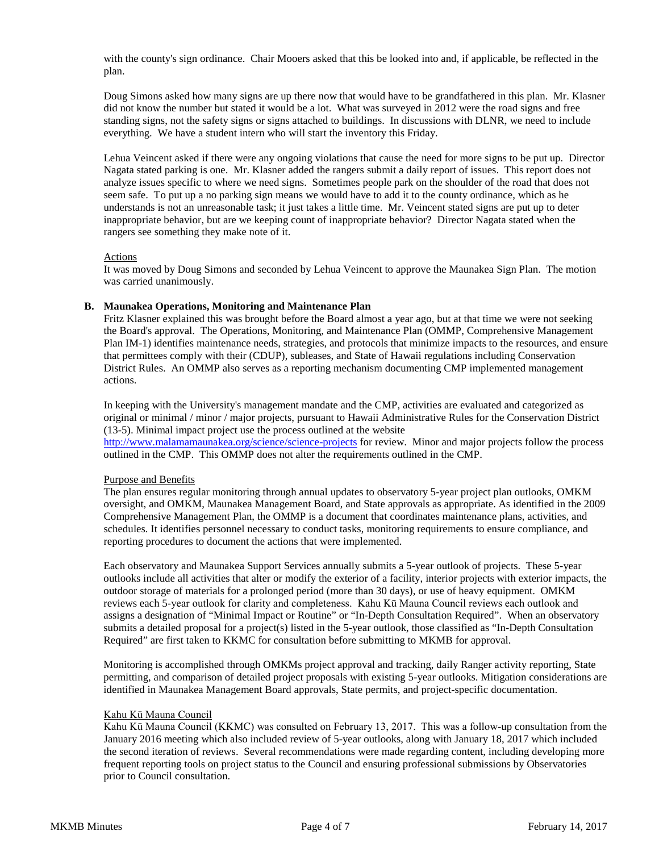with the county's sign ordinance. Chair Mooers asked that this be looked into and, if applicable, be reflected in the plan.

Doug Simons asked how many signs are up there now that would have to be grandfathered in this plan. Mr. Klasner did not know the number but stated it would be a lot. What was surveyed in 2012 were the road signs and free standing signs, not the safety signs or signs attached to buildings. In discussions with DLNR, we need to include everything. We have a student intern who will start the inventory this Friday.

Lehua Veincent asked if there were any ongoing violations that cause the need for more signs to be put up. Director Nagata stated parking is one. Mr. Klasner added the rangers submit a daily report of issues. This report does not analyze issues specific to where we need signs. Sometimes people park on the shoulder of the road that does not seem safe. To put up a no parking sign means we would have to add it to the county ordinance, which as he understands is not an unreasonable task; it just takes a little time. Mr. Veincent stated signs are put up to deter inappropriate behavior, but are we keeping count of inappropriate behavior? Director Nagata stated when the rangers see something they make note of it.

#### Actions

It was moved by Doug Simons and seconded by Lehua Veincent to approve the Maunakea Sign Plan. The motion was carried unanimously.

### **B. Maunakea Operations, Monitoring and Maintenance Plan**

Fritz Klasner explained this was brought before the Board almost a year ago, but at that time we were not seeking the Board's approval. The Operations, Monitoring, and Maintenance Plan (OMMP, Comprehensive Management Plan IM-1) identifies maintenance needs, strategies, and protocols that minimize impacts to the resources, and ensure that permittees comply with their (CDUP), subleases, and State of Hawaii regulations including Conservation District Rules. An OMMP also serves as a reporting mechanism documenting CMP implemented management actions.

In keeping with the University's management mandate and the CMP, activities are evaluated and categorized as original or minimal / minor / major projects, pursuant to Hawaii Administrative Rules for the Conservation District (13-5). Minimal impact project use the process outlined at the website <http://www.malamamaunakea.org/science/science-projects> for review. Minor and major projects follow the process outlined in the CMP. This OMMP does not alter the requirements outlined in the CMP.

# Purpose and Benefits

The plan ensures regular monitoring through annual updates to observatory 5-year project plan outlooks, OMKM oversight, and OMKM, Maunakea Management Board, and State approvals as appropriate. As identified in the 2009 Comprehensive Management Plan, the OMMP is a document that coordinates maintenance plans, activities, and schedules. It identifies personnel necessary to conduct tasks, monitoring requirements to ensure compliance, and reporting procedures to document the actions that were implemented.

Each observatory and Maunakea Support Services annually submits a 5-year outlook of projects. These 5-year outlooks include all activities that alter or modify the exterior of a facility, interior projects with exterior impacts, the outdoor storage of materials for a prolonged period (more than 30 days), or use of heavy equipment. OMKM reviews each 5-year outlook for clarity and completeness. Kahu Kū Mauna Council reviews each outlook and assigns a designation of "Minimal Impact or Routine" or "In-Depth Consultation Required". When an observatory submits a detailed proposal for a project(s) listed in the 5-year outlook, those classified as "In-Depth Consultation Required" are first taken to KKMC for consultation before submitting to MKMB for approval.

Monitoring is accomplished through OMKMs project approval and tracking, daily Ranger activity reporting, State permitting, and comparison of detailed project proposals with existing 5-year outlooks. Mitigation considerations are identified in Maunakea Management Board approvals, State permits, and project-specific documentation.

#### Kahu Kū Mauna Council

Kahu Kū Mauna Council (KKMC) was consulted on February 13, 2017. This was a follow-up consultation from the January 2016 meeting which also included review of 5-year outlooks, along with January 18, 2017 which included the second iteration of reviews. Several recommendations were made regarding content, including developing more frequent reporting tools on project status to the Council and ensuring professional submissions by Observatories prior to Council consultation.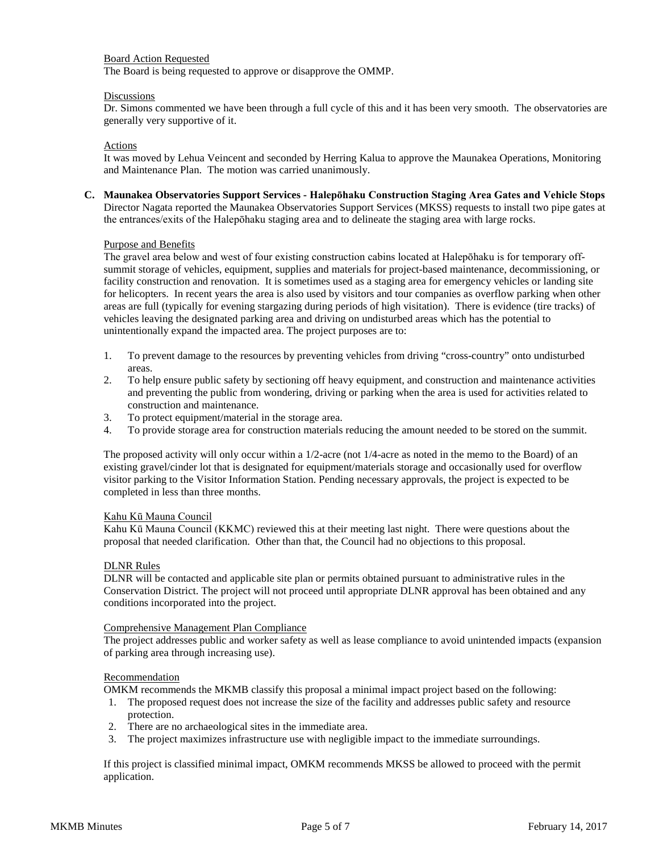### Board Action Requested

The Board is being requested to approve or disapprove the OMMP.

### **Discussions**

Dr. Simons commented we have been through a full cycle of this and it has been very smooth. The observatories are generally very supportive of it.

### **Actions**

It was moved by Lehua Veincent and seconded by Herring Kalua to approve the Maunakea Operations, Monitoring and Maintenance Plan. The motion was carried unanimously.

**C. Maunakea Observatories Support Services - Halepōhaku Construction Staging Area Gates and Vehicle Stops** Director Nagata reported the Maunakea Observatories Support Services (MKSS) requests to install two pipe gates at the entrances/exits of the Halepōhaku staging area and to delineate the staging area with large rocks.

### Purpose and Benefits

The gravel area below and west of four existing construction cabins located at Halepōhaku is for temporary offsummit storage of vehicles, equipment, supplies and materials for project-based maintenance, decommissioning, or facility construction and renovation. It is sometimes used as a staging area for emergency vehicles or landing site for helicopters. In recent years the area is also used by visitors and tour companies as overflow parking when other areas are full (typically for evening stargazing during periods of high visitation). There is evidence (tire tracks) of vehicles leaving the designated parking area and driving on undisturbed areas which has the potential to unintentionally expand the impacted area. The project purposes are to:

- 1. To prevent damage to the resources by preventing vehicles from driving "cross-country" onto undisturbed areas.
- 2. To help ensure public safety by sectioning off heavy equipment, and construction and maintenance activities and preventing the public from wondering, driving or parking when the area is used for activities related to construction and maintenance.
- 3. To protect equipment/material in the storage area.
- 4. To provide storage area for construction materials reducing the amount needed to be stored on the summit.

The proposed activity will only occur within a 1/2-acre (not 1/4-acre as noted in the memo to the Board) of an existing gravel/cinder lot that is designated for equipment/materials storage and occasionally used for overflow visitor parking to the Visitor Information Station. Pending necessary approvals, the project is expected to be completed in less than three months.

#### Kahu Kū Mauna Council

Kahu Kū Mauna Council (KKMC) reviewed this at their meeting last night. There were questions about the proposal that needed clarification. Other than that, the Council had no objections to this proposal.

#### DLNR Rules

DLNR will be contacted and applicable site plan or permits obtained pursuant to administrative rules in the Conservation District. The project will not proceed until appropriate DLNR approval has been obtained and any conditions incorporated into the project.

#### Comprehensive Management Plan Compliance

The project addresses public and worker safety as well as lease compliance to avoid unintended impacts (expansion of parking area through increasing use).

#### Recommendation

OMKM recommends the MKMB classify this proposal a minimal impact project based on the following:

- 1. The proposed request does not increase the size of the facility and addresses public safety and resource protection.
- 2. There are no archaeological sites in the immediate area.
- 3. The project maximizes infrastructure use with negligible impact to the immediate surroundings.

If this project is classified minimal impact, OMKM recommends MKSS be allowed to proceed with the permit application.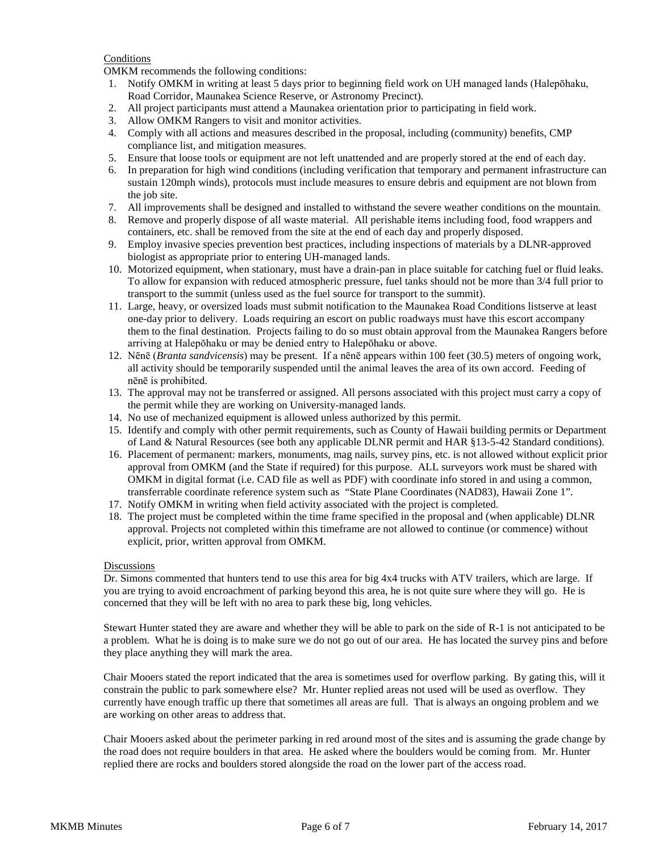### **Conditions**

OMKM recommends the following conditions:

- 1. Notify OMKM in writing at least 5 days prior to beginning field work on UH managed lands (Halepōhaku, Road Corridor, Maunakea Science Reserve, or Astronomy Precinct).
- 2. All project participants must attend a Maunakea orientation prior to participating in field work.
- 3. Allow OMKM Rangers to visit and monitor activities.
- 4. Comply with all actions and measures described in the proposal, including (community) benefits, CMP compliance list, and mitigation measures.
- 5. Ensure that loose tools or equipment are not left unattended and are properly stored at the end of each day.
- 6. In preparation for high wind conditions (including verification that temporary and permanent infrastructure can sustain 120mph winds), protocols must include measures to ensure debris and equipment are not blown from the job site.
- 7. All improvements shall be designed and installed to withstand the severe weather conditions on the mountain.
- 8. Remove and properly dispose of all waste material. All perishable items including food, food wrappers and containers, etc. shall be removed from the site at the end of each day and properly disposed.
- 9. Employ invasive species prevention best practices, including inspections of materials by a DLNR-approved biologist as appropriate prior to entering UH-managed lands.
- 10. Motorized equipment, when stationary, must have a drain-pan in place suitable for catching fuel or fluid leaks. To allow for expansion with reduced atmospheric pressure, fuel tanks should not be more than 3/4 full prior to transport to the summit (unless used as the fuel source for transport to the summit).
- 11. Large, heavy, or oversized loads must submit notification to the Maunakea Road Conditions listserve at least one-day prior to delivery. Loads requiring an escort on public roadways must have this escort accompany them to the final destination. Projects failing to do so must obtain approval from the Maunakea Rangers before arriving at Halepōhaku or may be denied entry to Halepōhaku or above.
- 12. Nēnē (*Branta sandvicensis*) may be present. If a nēnē appears within 100 feet (30.5) meters of ongoing work, all activity should be temporarily suspended until the animal leaves the area of its own accord. Feeding of nēnē is prohibited.
- 13. The approval may not be transferred or assigned. All persons associated with this project must carry a copy of the permit while they are working on University-managed lands.
- 14. No use of mechanized equipment is allowed unless authorized by this permit.
- 15. Identify and comply with other permit requirements, such as County of Hawaii building permits or Department of Land & Natural Resources (see both any applicable DLNR permit and HAR §13-5-42 Standard conditions).
- 16. Placement of permanent: markers, monuments, mag nails, survey pins, etc. is not allowed without explicit prior approval from OMKM (and the State if required) for this purpose. ALL surveyors work must be shared with OMKM in digital format (i.e. CAD file as well as PDF) with coordinate info stored in and using a common, transferrable coordinate reference system such as "State Plane Coordinates (NAD83), Hawaii Zone 1".
- 17. Notify OMKM in writing when field activity associated with the project is completed.
- 18. The project must be completed within the time frame specified in the proposal and (when applicable) DLNR approval. Projects not completed within this timeframe are not allowed to continue (or commence) without explicit, prior, written approval from OMKM.

#### **Discussions**

Dr. Simons commented that hunters tend to use this area for big 4x4 trucks with ATV trailers, which are large. If you are trying to avoid encroachment of parking beyond this area, he is not quite sure where they will go. He is concerned that they will be left with no area to park these big, long vehicles.

Stewart Hunter stated they are aware and whether they will be able to park on the side of R-1 is not anticipated to be a problem. What he is doing is to make sure we do not go out of our area. He has located the survey pins and before they place anything they will mark the area.

Chair Mooers stated the report indicated that the area is sometimes used for overflow parking. By gating this, will it constrain the public to park somewhere else? Mr. Hunter replied areas not used will be used as overflow. They currently have enough traffic up there that sometimes all areas are full. That is always an ongoing problem and we are working on other areas to address that.

Chair Mooers asked about the perimeter parking in red around most of the sites and is assuming the grade change by the road does not require boulders in that area. He asked where the boulders would be coming from. Mr. Hunter replied there are rocks and boulders stored alongside the road on the lower part of the access road.